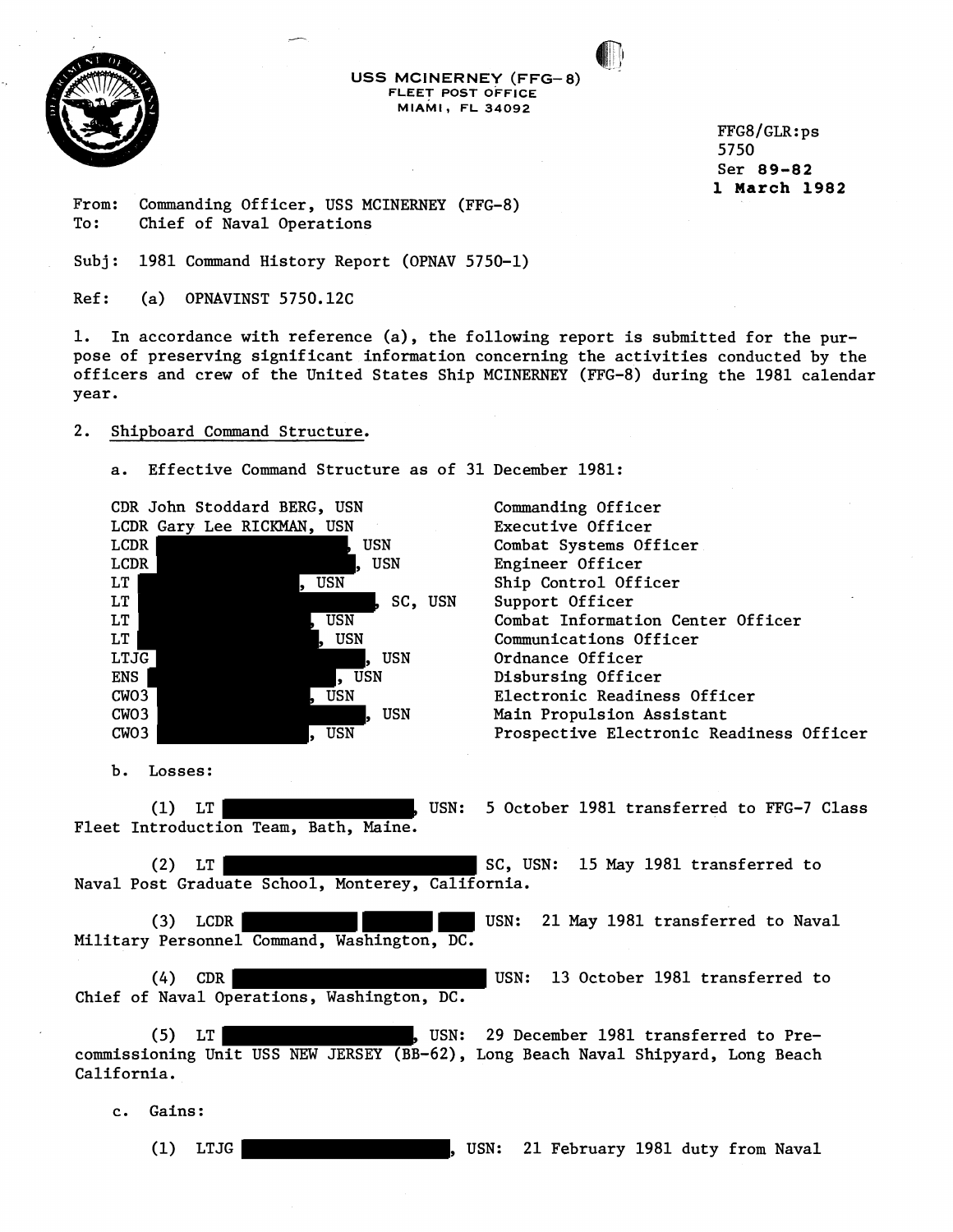

**USS MCINERNEY (FFG-8)**  FLEET POST OFFICE **MIAMI, FL 34092** 

> $FFG8/GLR:ps$ 5750 Ser 89-82 1 March **1982**

From: Commanding Officer, USS MCINERNEY (FFG-8)<br>To: Chief of Naval Operations Chief of Naval Operations

Subj: 1981 Command History Report (OPNAV 5750-1)

Ref: (a) OPNAVINST 5750.12C

1. In accordance with reference (a), the following report is submitted for the purpose of preserving significant information concerning the activities conducted by the officers and crew of the United States Ship MCINERNEY (FFG-8) during the 1981 calendar year.

### 2. Shipboard Command Structure.

a. Effective Command Structure as of 31 December 1981:

CDR John Stoddard BERG, USN LCDR Gary Lee RICKMAN, USN LCDR WEIGHT NEWSTAND STREET LCDR by the set of the set of the set of the set of the set of the set of the set of the set of the set of the set of the set of the set of the set of the set of the set of the set of the set of the set of the set of the s LT SUSN SUSN LT SC, USN LT , USN LT GUSN, USN LTJG , USN ENS SERVICES SERVICES SERVICES SERVICES SERVICES SERVICES SERVICES SERVICES SERVICES SERVICES SERVICES SERVICES CW03 , USN CW03 , USN CW03 , USN Commanding Officer Executive Officer Combat Systems Officer Engineer Officer Ship Control Officer Support Officer Combat Information Center Officer Communications Officer Ordnance Officer Disbursing Officer Electronic Readiness Officer Main Propulsion Assistant Prospective Electronic Readiness Officer

b. Losses:

(1) LT THE TREET THE MUSN: 5 October 1981 transferred to FFG-7 Class Fleet Introduction Team, Bath, Maine.

(2) LT German Contract SC, USN: 15 May 1981 transferred to Naval Post Graduate School, Monterey, California.

(3) LCDR USN: 21 May 1981 transferred to Naval Military Personnel Command, Washington, DC.

(4) CDR USN: 13 October 1981 transferred to Chief of Naval Operations, Washington, DC.

(5) LT , USN: 29 December 1981 transferred to Precommissioning Unit USS NEW JERSEY (BB-62), Long Beach Naval Shipyard, Long Beach California.

c. Gains:

(1) LTJG **CONTACT CONSTRUSS 1981 DESIGNAL STATES**, USN: 21 February 1981 duty from Naval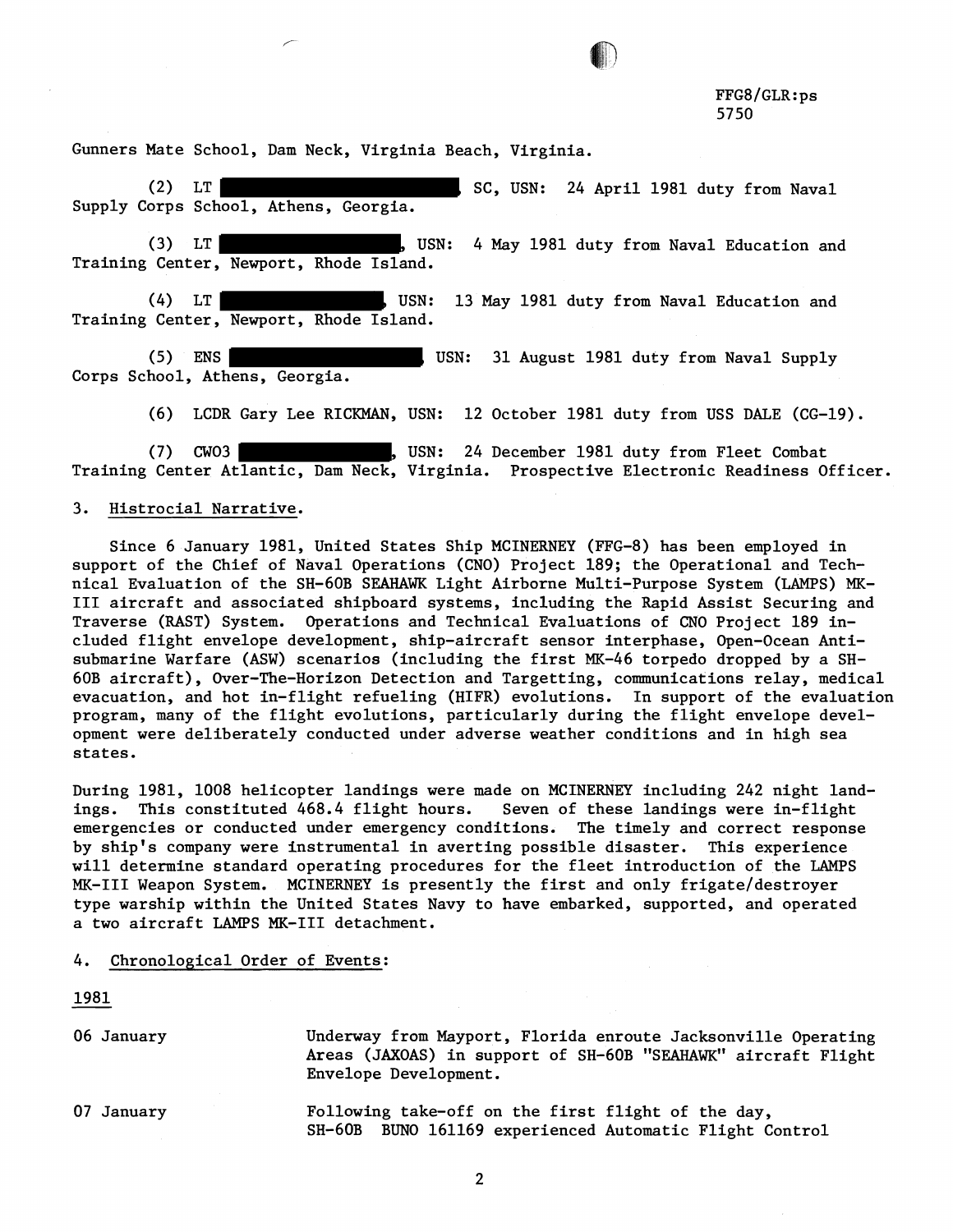Gunners Mate School, Dam Neck, Virginia Beach, Virginia.

(2) LT SC, USN: 24 April 1981 duty from Naval Supply Corps School, Athens, Georgia.

(3) LT (3) LT , USN: 4 May 1981 duty from Naval Education and Training Center, Newport, Rhode Island.

(4) LT German May 1981 duty from Naval Education and Training Center, Newport, Rhode Island.

(5) ENS USN: 31 August 1981 duty from Naval Supply Corps School, Athens, Georgia.

(6) LCDR Gary Lee RICKMAN, USN: 12 October 1981 duty from USS DALE (CG-19).

(7) CW03 WEBS COMPUTE: USN: 24 December 1981 duty from Fleet Combat Training Center Atlantic, Dam Neck, Virginia. Prospective Electronic Readiness Officer.

## 3. Histrocial Narrative.

Since 6 January 1981, United States Ship MCINERNEY (FFG-8) has been employed in support of the Chief of Naval Operations (CNO) Project 189; the Operational and Technical Evaluation of the SH-60B SEAHAWK Light Airborne Multi-Purpose System (LAMPS) MK-111 aircraft and associated shipboard systems, including the Rapid Assist Securing and Traverse (RAST) System. Operations and Technical Evaluations of CNO Project 189 included flight envelope development, ship-aircraft sensor interphase, Open-Ocean Antisubmarine Warfare (ASW) scenarios (including the first MK-46 torpedo dropped by a SH-60B aircraft), Over-The-Horizon Detection and Targetting, communications relay, medical evacuation, and hot in-flight refueling (HIFR) evolutions. In support of the evaluation program, many of the flight evolutions, particularly during the flight envelope development were deliberately conducted under adverse weather conditions and in high sea states.

During 1981, 1008 helicopter landings were made on MCINERNEY including 242 night landings. This constituted 468.4 flight hours. Seven of these landings were in-flight emergencies or conducted under emergency conditions. The timely and correct response by ship's company were instrumental in averting possible disaster. This experience will determine standard operating procedures for the fleet introduction of the LAMPS MK-III Weapon System. MCINERNEY is presently the first and only frigate/destroyer type warship within the United States Navy to have embarked, supported, and operated a two aircraft LAMPS MK-I11 detachment.

### 4. Chronological Order of Events:

1981

06 January

Underway from Mayport, Florida enroute Jacksonville Operating Areas (JAXOAS) in support of SH-GOB "SEAHAWK" aircraft Flight Envelope Development.

07 January Following take-off on the first flight of the day, SH-GOB BUN0 161169 experienced Automatic Flight Control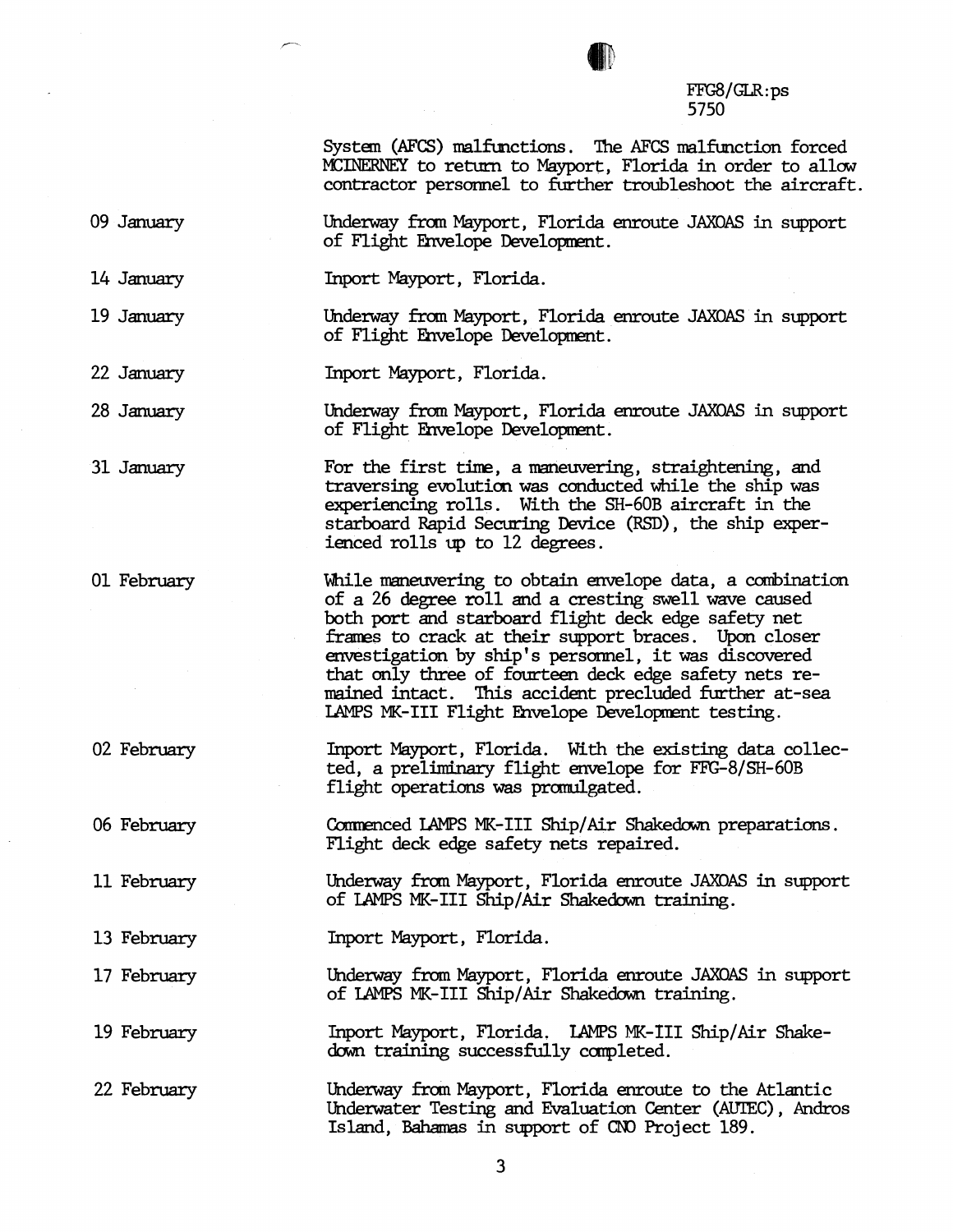

System (AFCS) malfunctions. The AFCS malfunction forced MCINERNEY to return to Mayport, Florida in order to allow cantractor personnel to further troubleshoot the aircraft.

09 January

14 January

19 **January** 

Underway from Mayport, Florida enroute JAXOAS in support of Flight Envelope Development.

Underway from Mayport, Florida enroute JAXOAS in support

While maneuvering to obtain envelope data, a combination of a 26 **degree** roll and a cresting swell wave caused both port and starboard flight deck edge safety net frames to crack at their support braces. Upon closer emestigatim by ship's personnel, it was discovered that mly three of fourteen **deck** edge safety nets remained intact. This accident precluded further at-sea

Inport Mayport, Florida. With the existing **data** collected, a preliminary flight emrelope for FFG-8/SH-60B

Commenced LAMPS MK-III Ship/Air Shakedown preparations.

Underway fran Mayport, Florida enroute JAXOAS in support

LAMPS MK-III Flight Envelope Development testing.

For the first time, a maneuvering, straightening, and traversing evolution **was** cmducted while the ship **was**  experiencing rolls. With the SH-GOB aircraft in the starboard Rapid Securing Device (RSD), the ship exper-

Inport Mayport, Florida.

Underway £ran Mayport, Florida enroute JAXOAS in support of Flight Envelope Development.

of Flight Ehvelope Develapment.

ienced rolls up to 12 degrees.

22 January **Inport** Mayport, Florida.

28 Jarmary

31 January

01 February

02 February

06 February

11 February

13 February Inport Mayport, Florida.

17 February Underway from Mayport, Florida enroute JAXOAS in support of LAMPS MK-I11 Ship/Air **Shakedown** training.

flight operations was promulgated.

Flight deck edge safety nets repaired.

of LAMPS MK-I11 Ship/Air Shakedown training.

19 February Inport Mayport, **Florida.** LAMPS MK-111 Ship/Air Shakedown training successfully completed.

22 February Underway from Mayport, Florida enroute to the Atlantic Underwater Testing and Evaluation Center **(AUTEC)** , Andros Island, Bahamas in support of CNO Project 189.

3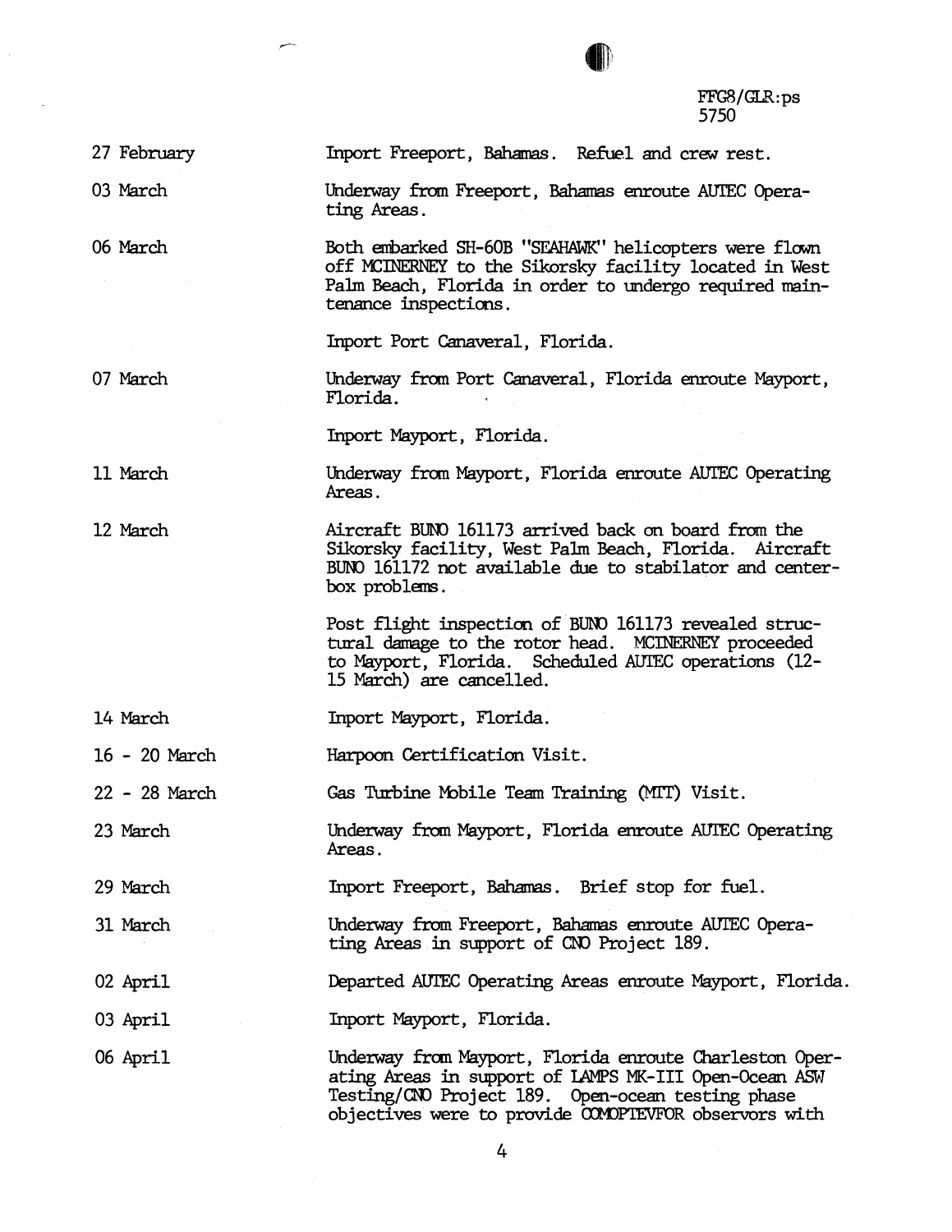

27 February

03 **March** 

06 **March** 

07 **March** 

Both embarked SH-60B "SEAHAWK" helicopters were flown off MCINERNEY to the Sikorsky facility located in West Palm **Beach,** Florida in order to undergo required **main**tenance inspections.

Underway from Freeport, Bahamas enroute AUTEC Opera-

Inport Freeport, Bahamas. Refuel and crew rest.

Inport Port Canaveral, Florida.

Underway from Port Canaveral, Florida enroute Mayport, Florida.

Inport Mayport, Florida.

ting **Areas.** 

**Underway** from Mayport, Florida enroute **AUIEC** Operating **Areas.** 

12 **March** 

11 **March** 

Aircraft BUNO 161173 arrived back on board from the Sikorsky facility, West Palm **Beach,** Florida. Aircraft BUN0 161172 not available **due** to stabilator and center**box** problems.

Post flight inspection of BUNO 161173 revealed structural damage to the rotor head. MCINERNEY proceeded to Mayport, Florida. Scheduled **AUIEC** operations (12- 15 **March)** are cancelled.

14 March Inport Mayport, Florida.

16 - 20 **March**  Harpoon Certification Visit.

22 - 28 **March**  Gas Turbine Mobile Team Training (MIT) Visit.

23 March **Underway** from Mayport, Florida enroute **AUIEC** Operating Areas.

29 **March**  Inport Freeport, Bahamas. Brief stop for fuel.

31 **March**  Underway from Freeport, Bahamas enroute AUTEC Operating **Areas** in support of CNO Project 189.

02 April Departed **AUEC** Operating **Areas** enroute Mayport, Florida.

03 April Import Mayport, Florida.

06 April

**Underway** from **Mayport,** Florida enroute Charleston Operating Areas in support of LAMPS MK-III Open-Ocean ASW Testing/CNO Project 189. Open-ocean testing phase objectives were to provide COMOPTEVFOR observors with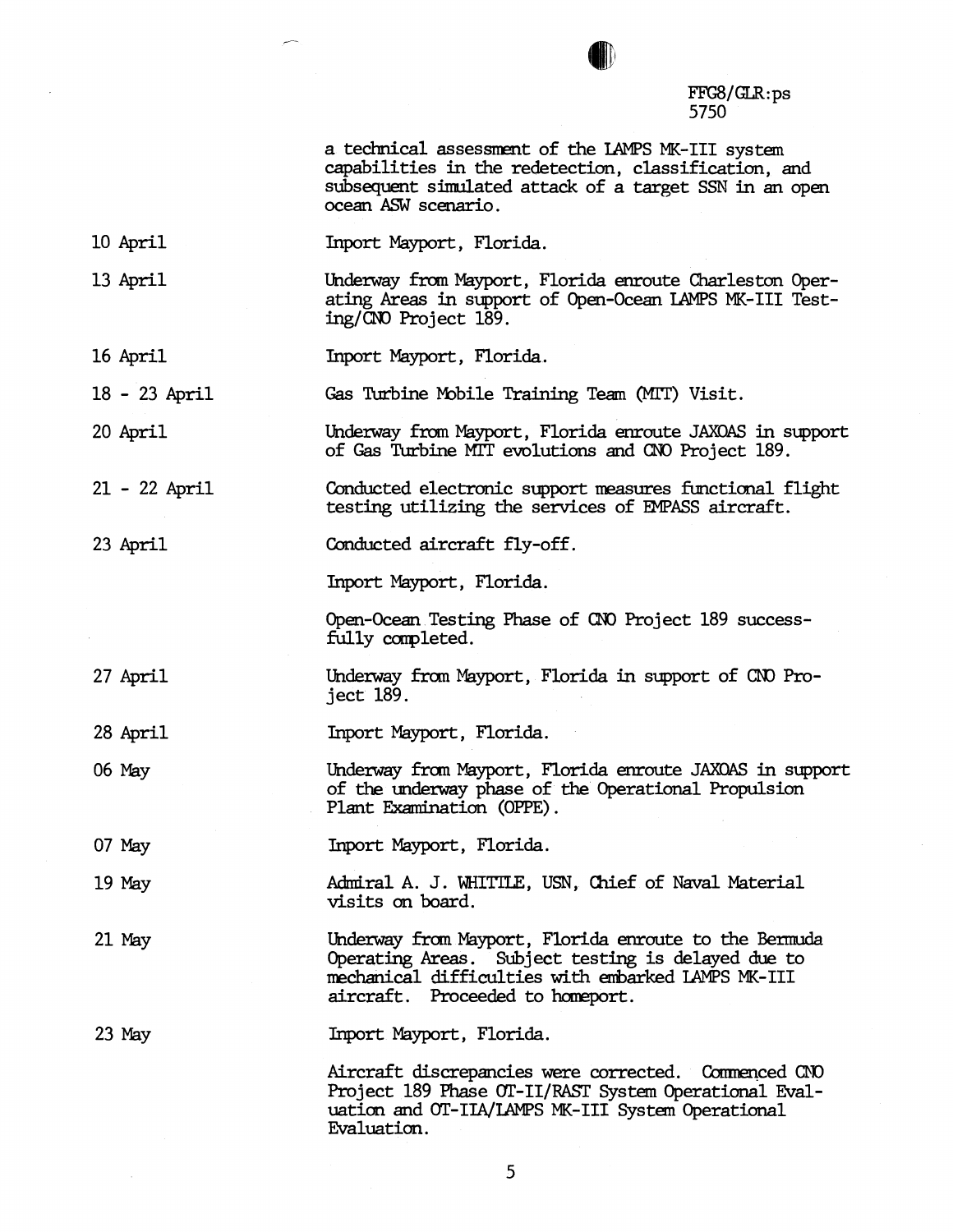a technical assessment of the LAMPS MK-III system capabilities in the redetection, classification, and subsequent simlated attack of a target SSN in an open ocean ASW scenario.

- 10 April Tnport Mayport, Florida.
- 13 April Underway from Mayport, Florida enroute Charleston Operating **Areas** in support of Open-Ocean LAMPS MK-111 Testing/CNO Project 189.
- 16 April Inport Mayport, Florida.

18 - 23 April Gas Turbine Mobile Training Team (MIT) Visit.

20 April Underway from Mayport, Florida enroute **JAXQAS** in support of Gas **Turbine** MIT evolutions and CNO Project 189.

21 - 22 April Conducted electronic support measures functional flight testing utilizing the services of EMPASS aircraft.

23 April

Inport Mayport, Florida.

Conducted aircraft fly-off.

Open-Ocean Testing **Phase** of CNO Project 189 successfully completed.

- 27 April Underway from Mayport, Florida in support of CNO Proj ect 189.
- 28 April Inport Mayport, Florida.
- 06 May

Underway from Mayport, Florida enroute **JAXOAS** in support of the underway phase of the Operational Propulsion Plant Examination (OPPE).

- 07 May Inport Mayport, Florida.
- 19 May Admiral A. J. WHITTLE, USN, Chief of Naval Material visits **on** board.
- 21 May Underway fram Mayport, Florida enroute to the **Bermuda**  Operating **Areas.** Subject testing is delayed due to mechanical difficulties with embarked LAMPS MK-III aircraft. Proceeded to homeport.

23 May

Inport Mayport, Florida.

Aircraft discrepancies were corrected. Commenced CND Project 189 Phase OT-II/RAST System Operational Evaluation and OT-IIA/IAMPS MK-III System Operational Evaluation.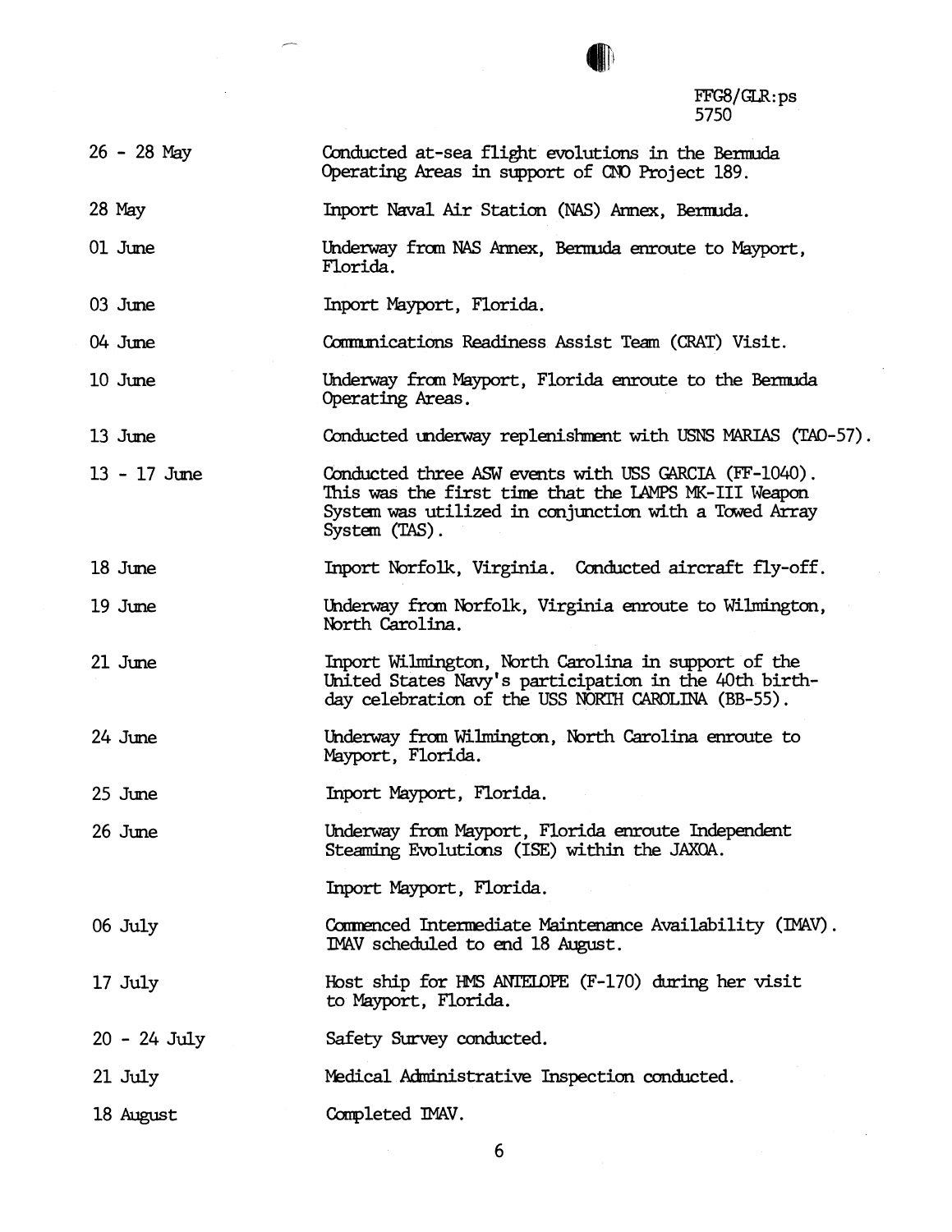FFG8/GLR:ps<br>5750

| $26 - 28$ May  | Conducted at-sea flight evolutions in the Bermuda<br>Operating Areas in support of CNO Project 189.                                                                                     |
|----------------|-----------------------------------------------------------------------------------------------------------------------------------------------------------------------------------------|
| $28$ May       | Inport Naval Air Station (NAS) Armex, Bermuda.                                                                                                                                          |
| 01 June        | Underway from NAS Armex, Bermuda enroute to Mayport,<br>Florida.                                                                                                                        |
| 03 June        | Inport Mayport, Florida.                                                                                                                                                                |
| 04 June        | Communications Readiness Assist Team (CRAT) Visit.                                                                                                                                      |
| 10 June        | Underway from Mayport, Florida enroute to the Bermuda<br>Operating Areas.                                                                                                               |
| 13 June        | Conducted underway replenishment with USNS MARIAS (TAO-57).                                                                                                                             |
| $13 - 17$ June | Conducted three ASW events with USS GARCIA (FF-1040).<br>This was the first time that the LAMPS MK-III Weapon<br>System was utilized in conjunction with a Towed Array<br>System (TAS). |
| 18 June        | Inport Norfolk, Virginia. Conducted aircraft fly-off.                                                                                                                                   |
| 19 June        | Underway from Norfolk, Virginia enroute to Wilmington,<br>North Carolina.                                                                                                               |
| 21 June        | Inport Wilmington, North Carolina in support of the<br>United States Navy's participation in the 40th birth-<br>day celebration of the USS NORTH CAROLINA (BB-55).                      |
| 24 June        | Underway from Wilmington, North Carolina enroute to<br>Mayport, Florida.                                                                                                                |
| 25 June        | Inport Mayport, Florida.                                                                                                                                                                |
| 26 June        | Underway from Mayport, Florida enroute Independent<br>Steaming Evolutions (ISE) within the JAXOA.                                                                                       |
|                | Inport Mayport, Florida.                                                                                                                                                                |
| 06 July        | Commenced Intermediate Maintenance Availability (IMAV).<br>IMAV scheduled to end 18 August.                                                                                             |
| 17 July        | Host ship for HMS ANTELOPE (F-170) during her visit<br>to Mayport, Florida.                                                                                                             |
| $20 - 24$ July | Safety Survey conducted.                                                                                                                                                                |
| 21 July        | Medical Administrative Inspection conducted.                                                                                                                                            |
| 18 August      | Completed IMAV.                                                                                                                                                                         |

 $\bar{\mathcal{A}}$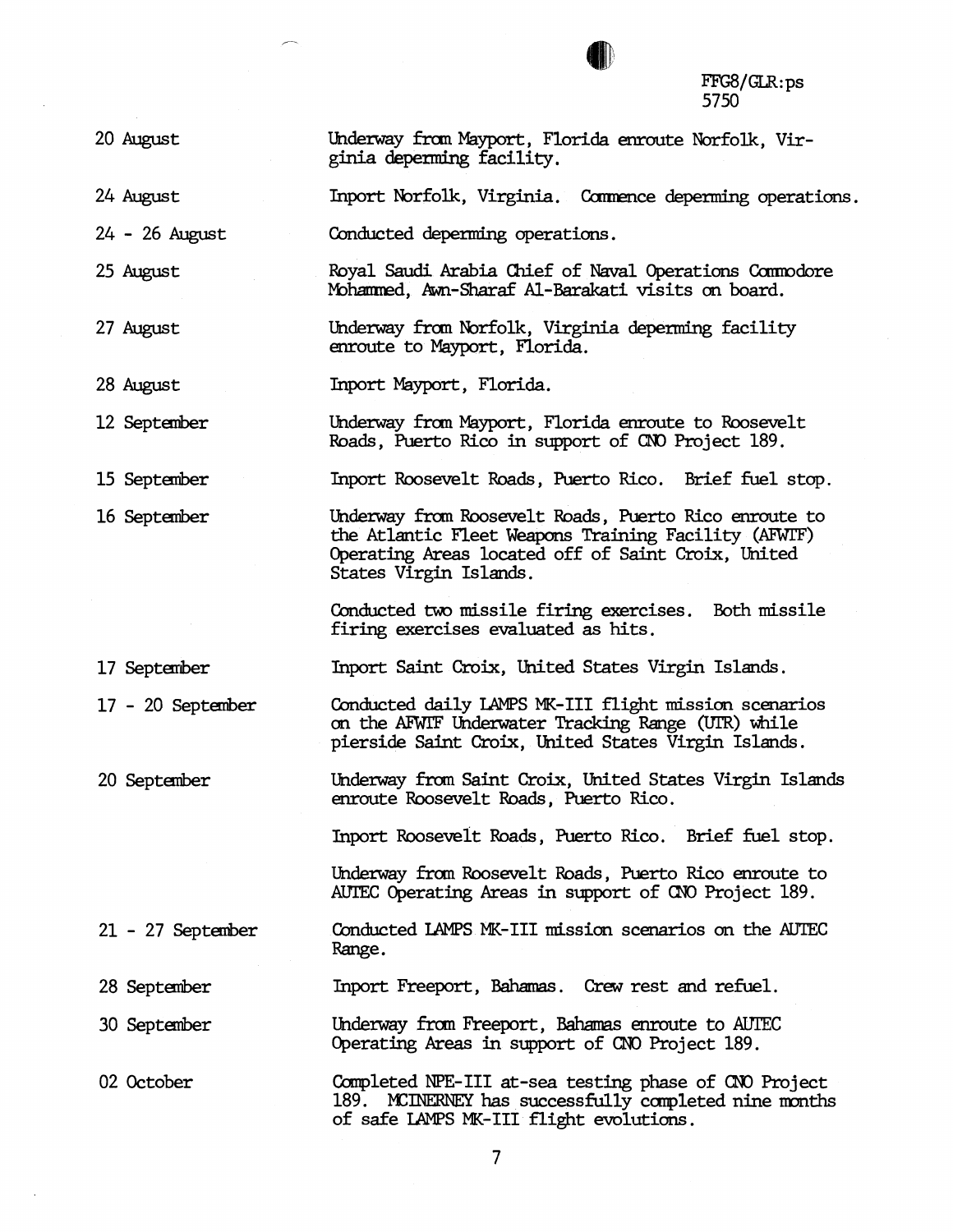20 August

24 August

24 - 26 August

25 August

27 August

15 Septarber

Royal Saudi Arabia Chief of Naval Operations Commodore Mohammed, Awn-Sharaf Al-Barakati visits on board.

Underway fran Mayport, Florida enroute Norfolk, Vir-

Inport Norfolk, Virginia. Commence deperming operations.

Underway fran Norfolk, Virginia **depenning** facility enroute to Mayport, **Florida.** 

Conducted deperming operations.

ginia **depemhg** facility.

28 August Inport Mayport, Florida.

12 September Underway fran Mayport, Florida enroute to Roosevelt Roads, Puerto Rico in support of CNO Project 189.

Inport Roosevelt Roads, Puerto Rico. Brief £uel stop.

16 September Underway from Roosevelt Roads, Puerto Rico enroute to the Atlantic Fleet **Weapons** Training Facility (AFWI'F) Operating **Areas** located off of Saint **Croix,** United States Virgin Islands.

> Conducted two missile firing exercises. Both missile firing exercises evaluated as hits.

17 Septarber Inport Saint **Croix,** United States Virgin Islands.

17 - 20 September Conducted daily LAMPS MK-III flight mission scenarios **on** the **MWE** Underwater Tracking Range (UtR) hile pierside Saint **Croix,** United States Virgin Islands.

20 September Underway from Saint Croix, United States Virgin Islands enroute Roosevelt Roads, Puerto Rico.

Inport Roosevelt Roads, Puerto Rico. Brief fuel stop.

Underway from Roosevelt Roads, Puerto Rico enroute to AUTEC Operating Areas in support of CNO Project 189.

21 - 27 September Conducted LAMPS MK-III mission scenarios on the AUTEC Range.

28 Septarber Inport Freeport, Bahamas. Crew rest and refuel.

30 September Underway from Freeport, Bahamas enroute to AUTEC Operating Areas in support of CNO Project 189.

02 October Completed NPE-III at-sea testing phase of CNO Project 189. MCINERNEY has successfully completed nine months of safe LAMPS MK-111 flight evolutions.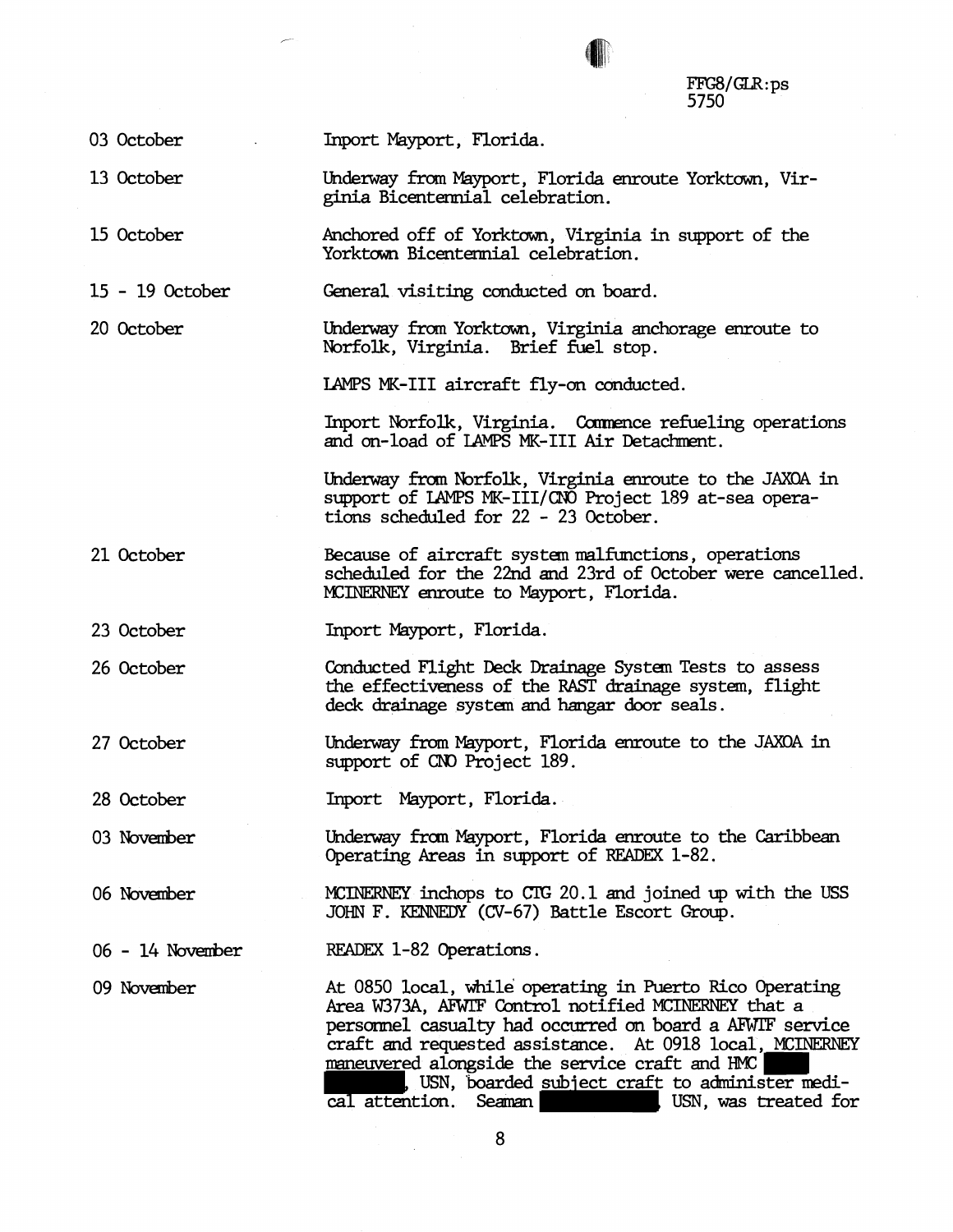03 October

13 October

15 October

15 - 19 October

20 October

Underway from Yorktown, Virginia anchorage enroute to Norfolk, Virginia. Brief £uel stop.

Underway from Mayport, Florida enroute Yorktown, Vir-

Anchored off of Yorktown, Virginia in support of the

LAMPS MK-III aircraft fly-on conducted.

Inport Mayport, Florida.

ginia Bicentennial celebration.

Yorktown Bicentennial celebration.

General visiting cmducted on board.

Inport Norfolk, Virginia. Commence refueling operations and on-load of IAMPS MK-III Air Detachment.

Underway from Norfolk, Virginia enroute to the JAXOA in support of IAMPS MK-III/CNO Project 189 at-sea operations scheduled for 22 - 23 October.

21 October Because of aircraft system malfunctions, operations scheduled for the 22nd and 23rd of October were cancelled. MCINERNEY enroute to Mayport, Florida.

**Inport** Mayport, Florida.

26 October

23 October

Conducted Flight Deck Drainage System Tests to assess the effectiveness of the **RAST** drainage system, flight deck drainage systan **and hangar** door seals.

27 October Underway from Mayport, Florida enroute to the JAXOA in support of CNO Project 189.

28 October Inport Mayport, Florida.

03 November Underway from Mayport, Florida enroute to the Caribbean Operating Areas in support of READEX 1-82.

06 November **MCINERIW** inchops to Cr(: 20.1 and joined up with the **USS JOHN** F. KENNEDY (CV-67) Battle Escort **Group.** 

READEX 1-82 Operations.  $06 - 14$  November

09 November

At 0850 local, while operating in Puerto Rico Operating Area W373A, AFWIF Control notified MCINERNEY that a persarrnel **casualty** had **occurred an** board a AFFTF **service**  craft and requested assistance. At 0918 local, MCINERNEY maneuvered alongside the service craft and HMC man, USN, boarded subject craft to administer medi-<br>cal attention. Seaman cal attention. Seawm USN, **was** treated for

8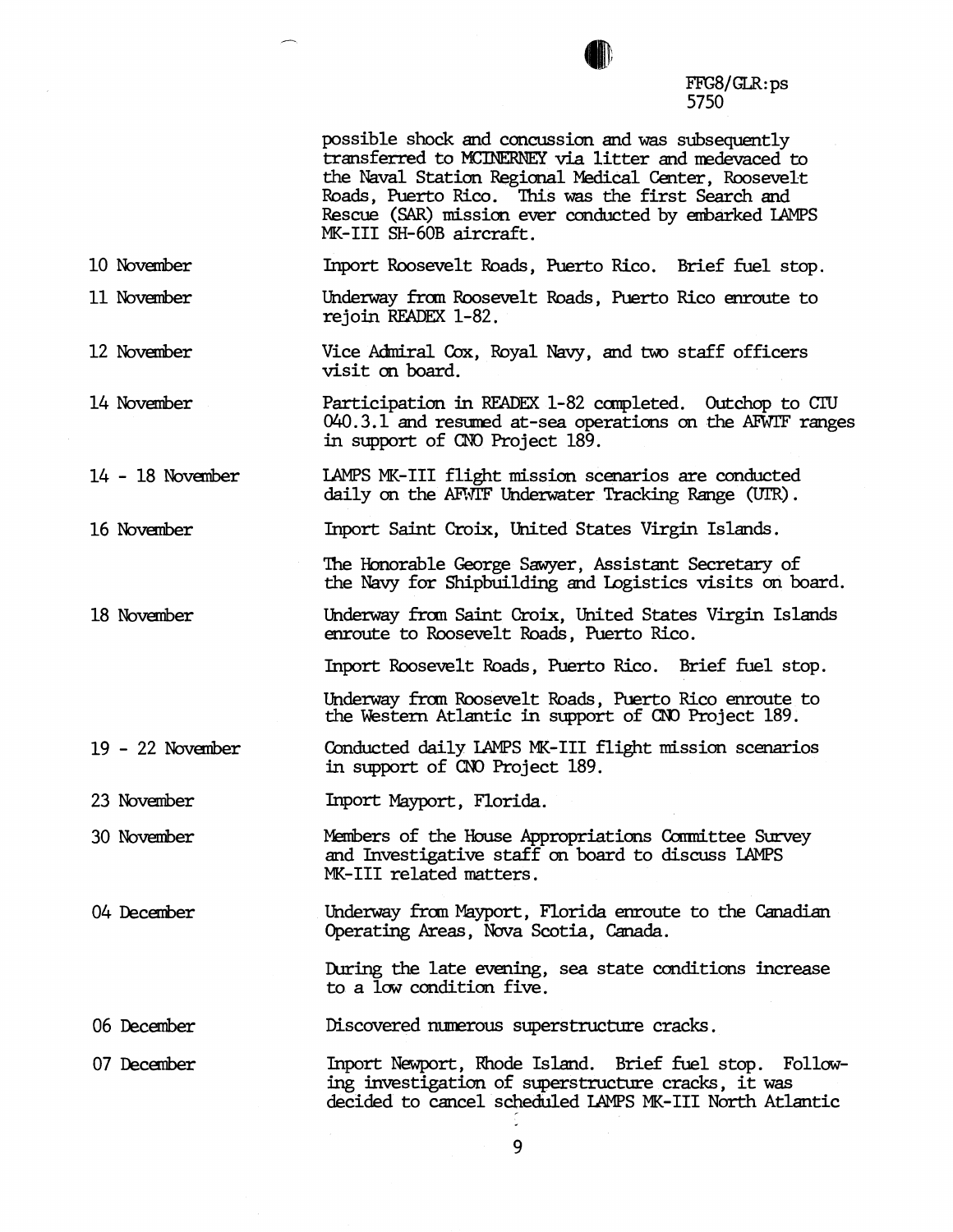possible shock and cmcussim and **was** subsequently transferred to MCINERNEY via litter and medevaced to *the* Naval Station Regional Medical Center, Roosevelt Roads, Puerto Rico. This was the first Search and Rescue (SAR) mission ever conducted by embarked LAMPS MK-III SH-60B aircraft. 10 November Inport Roosevelt Roads, Puerto Rico. Brief fuel stop. 11 November Underway from Roosevelt Roads, Puerto Rico enroute to rejoin READEX 1-82. 12 November Vice Admiral Cox, Royal Navy, and two staff officers visit on board. 14 November Participation in READEX 1-82 completed. Outchop to CIU 040.3.1 and resumed at-sea operations on the AFWIF ranges in support of **OD** Project 189. 14 - 18 November LAMPS MK-111 flight mission scenarios are conducted daily on the AFWIF Underwater Tracking Range (UIR). 16 November **Inport** Saint **Croix,** United States Virgin Islands. The Honorable George Sawyer, Assistant Secretary of the Navy for Shipbuilding and Logistics visits on board. 18 November Underway £ran Saint Croix, United States Virgin Islands enroute to Roosevelt Roads, Puerto Rico. Inport Roosevelt Roads, Puerto Rico. Brief fuel stop. Underway £ran Roosevelt Roads, Puerto Rico enroute to *the* Western Atlantic in support of **CNO** Project 189.  $19 - 22$  November Conducted daily LAMPS MK-III flight mission scenarios in support of **CNO** Project 189. 23 November Inport Mayport, Florida. 30 November Members of the House Appropriations Committee Survey and Investigative staff an board to discuss LAMPS MK-I11 related matters. 04 December Underway from myport, Florida enroute to the **Canadian**  Operating *Areas,* Nova Scotia, **Canada.**  During the late evening, sea state conditions increase to a low condition five. 06 December Discovered **numerous** superstructure cracks. 07 December Inport Newport, Rhode Island. Brief fuel stop. Following investigaticm of superstructure cracks, it was decided to cancel scheduled LAMPS MK-I11 North Atlantic